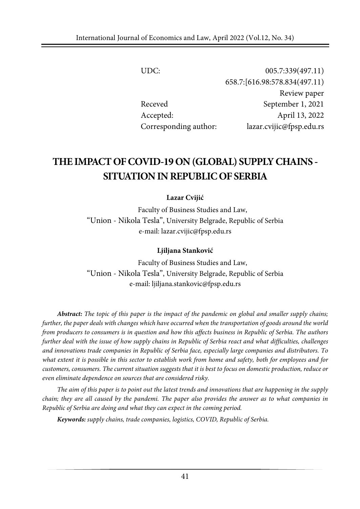UDC: 005.7:339(497.11) 658.7:[616.98:578.834(497.11) Review paper Receved September 1, 2021 Accepted: April 13, 2022 Corresponding author: lazar.cvijic@fpsp.edu.rs

# **THEIMPACTOFCOVID-19ON (GLOBAL) SUPPLYCHAINS - SITUATIONIN REPUBLIC OF SERBIA**

#### **Lazar Cvijić**

Faculty of Business Studies and Law, "Union - Nikola Tesla", University Belgrade, Republic of Serbia e-mail: lazar.cvijic@fpsp.edu.rs

#### **Ljiljana Stanković**

Faculty of Business Studies and Law, "Union - Nikola Tesla", University Belgrade, Republic of Serbia e-mail: ljiljana.stankovic@fpsp.edu.rs

**Abstract:** The topic of this paper is the impact of the pandemic on global and smaller supply chains; further, the paper deals with changes which have occurred when the transportation of goods around the world *from producers to consumers is in question and how this affects business in Republic of Serbia. The authors further deal with the issue of how supply chains in Republic of Serbia react and what difficulties, challenges and innovations trade companies in Republic of Serbia face, especially large companies and distributors. To* what extent it is possible in this sector to establish work from home and safety, both for employees and for customers, consumers. The current situation suggests that it is best to focus on domestic production, reduce or *even eliminate dependence on sources that are considered risky.*

The aim of this paper is to point out the latest trends and innovations that are happening in the supply chain; they are all caused by the pandemi. The paper also provides the answer as to what companies in *Republic of Serbia are doing and what they can expect in the coming period.*

*Keywords: supply chains, trade companies, logistics, COVID, Republic of Serbia.*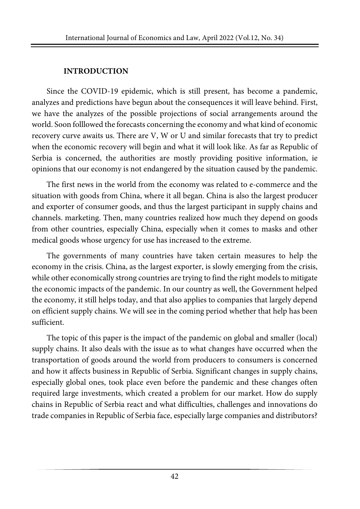#### **INTRODUCTION**

Since the COVID-19 epidemic, which is still present, has become a pandemic, analyzes and predictions have begun about the consequences it will leave behind. First, we have the analyzes of the possible projections of social arrangements around the world. Soon folllowed the forecasts concerning the economy and what kind of economic recovery curve awaits us. There are V, W or U and similar forecasts that try to predict when the economic recovery will begin and what it will look like. As far as Republic of Serbia is concerned, the authorities are mostly providing positive information, ie opinions that our economy is not endangered by the situation caused by the pandemic.

The first news in the world from the economy was related to e-commerce and the situation with goods from China, where it all began. China is also the largest producer and exporter of consumer goods, and thus the largest participant in supply chains and channels. marketing. Then, many countries realized how much they depend on goods from other countries, especially China, especially when it comes to masks and other medical goods whose urgency for use has increased to the extreme.

The governments of many countries have taken certain measures to help the economy in the crisis. China, as the largest exporter, is slowly emerging from the crisis, while other economically strong countries are trying to find the right models to mitigate the economic impacts of the pandemic. In our country as well, the Government helped the economy, it still helps today, and that also applies to companies that largely depend on efficient supply chains. We will see in the coming period whether that help has been sufficient.

The topic of this paper is the impact of the pandemic on global and smaller (local) supply chains. It also deals with the issue as to what changes have occurred when the transportation of goods around the world from producers to consumers is concerned and how it affects business in Republic of Serbia. Significant changes in supply chains, especially global ones, took place even before the pandemic and these changes often required large investments, which created a problem for our market. How do supply chains in Republic of Serbia react and what difficulties, challenges and innovations do trade companies in Republic of Serbia face, especially large companies and distributors?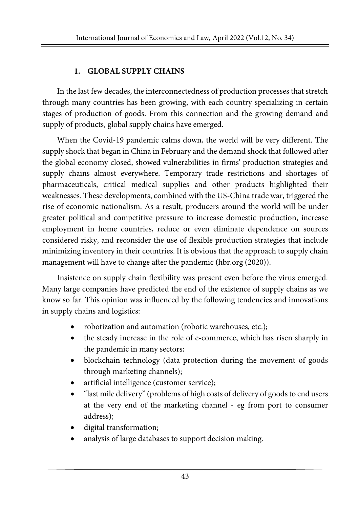## **1. GLOBAL SUPPLY CHAINS**

In the last few decades, the interconnectedness of production processes that stretch through many countries has been growing, with each country specializing in certain stages of production of goods. From this connection and the growing demand and supply of products, global supply chains have emerged.

When the Covid-19 pandemic calms down, the world will be very different. The supply shock that began in China in February and the demand shock that followed after the global economy closed, showed vulnerabilities in firms' production strategies and supply chains almost everywhere. Temporary trade restrictions and shortages of pharmaceuticals, critical medical supplies and other products highlighted their weaknesses. These developments, combined with the US-China trade war, triggered the rise of economic nationalism. As a result, producers around the world will be under greater political and competitive pressure to increase domestic production, increase employment in home countries, reduce or even eliminate dependence on sources considered risky, and reconsider the use of flexible production strategies that include minimizing inventory in their countries. It is obvious that the approach to supply chain management will have to change after the pandemic (hbr.org (2020)).

Insistence on supply chain flexibility was present even before the virus emerged. Many large companies have predicted the end of the existence of supply chains as we know so far. This opinion was influenced by the following tendencies and innovations in supply chains and logistics:

- robotization and automation (robotic warehouses, etc.);
- the steady increase in the role of e-commerce, which has risen sharply in the pandemic in many sectors;
- blockchain technology (data protection during the movement of goods through marketing channels);
- artificial intelligence (customer service);
- "last mile delivery" (problems of high costs of delivery of goods to end users at the very end of the marketing channel - eg from port to consumer address);
- digital transformation;
- analysis of large databases to support decision making.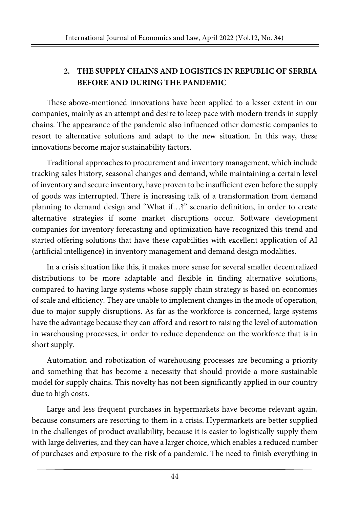# **2. THE SUPPLY CHAINS AND LOGISTICS IN REPUBLIC OF SERBIA BEFORE AND DURING THE PANDEMIC**

These above-mentioned innovations have been applied to a lesser extent in our companies, mainly as an attempt and desire to keep pace with modern trends in supply chains. The appearance of the pandemic also influenced other domestic companies to resort to alternative solutions and adapt to the new situation. In this way, these innovations become major sustainability factors.

Traditional approaches to procurement and inventory management, which include tracking sales history, seasonal changes and demand, while maintaining a certain level of inventory and secure inventory, have proven to be insufficient even before the supply of goods was interrupted. There is increasing talk of a transformation from demand planning to demand design and "What if…?" scenario definition, in order to create alternative strategies if some market disruptions occur. Software development companies for inventory forecasting and optimization have recognized this trend and started offering solutions that have these capabilities with excellent application of AI (artificial intelligence) in inventory management and demand design modalities.

In a crisis situation like this, it makes more sense for several smaller decentralized distributions to be more adaptable and flexible in finding alternative solutions, compared to having large systems whose supply chain strategy is based on economies of scale and efficiency. They are unable to implement changes in the mode of operation, due to major supply disruptions. As far as the workforce is concerned, large systems have the advantage because they can afford and resort to raising the level of automation in warehousing processes, in order to reduce dependence on the workforce that is in short supply.

Automation and robotization of warehousing processes are becoming a priority and something that has become a necessity that should provide a more sustainable model for supply chains. This novelty has not been significantly applied in our country due to high costs.

Large and less frequent purchases in hypermarkets have become relevant again, because consumers are resorting to them in a crisis. Hypermarkets are better supplied in the challenges of product availability, because it is easier to logistically supply them with large deliveries, and they can have a larger choice, which enables a reduced number of purchases and exposure to the risk of a pandemic. The need to finish everything in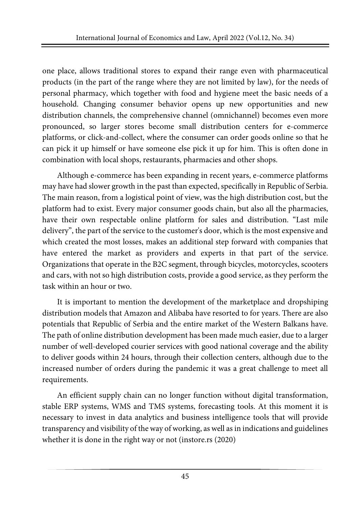one place, allows traditional stores to expand their range even with pharmaceutical products (in the part of the range where they are not limited by law), for the needs of personal pharmacy, which together with food and hygiene meet the basic needs of a household. Changing consumer behavior opens up new opportunities and new distribution channels, the comprehensive channel (omnichannel) becomes even more pronounced, so larger stores become small distribution centers for e-commerce platforms, or click-and-collect, where the consumer can order goods online so that he can pick it up himself or have someone else pick it up for him. This is often done in combination with local shops, restaurants, pharmacies and other shops.

Although e-commerce has been expanding in recent years, e-commerce platforms may have had slower growth in the past than expected, specifically in Republic of Serbia. The main reason, from a logistical point of view, was the high distribution cost, but the platform had to exist. Every major consumer goods chain, but also all the pharmacies, have their own respectable online platform for sales and distribution. "Last mile delivery", the part of the service to the customer's door, which is the most expensive and which created the most losses, makes an additional step forward with companies that have entered the market as providers and experts in that part of the service. Organizations that operate in the B2C segment, through bicycles, motorcycles, scooters and cars, with not so high distribution costs, provide a good service, as they perform the task within an hour or two.

It is important to mention the development of the marketplace and dropshiping distribution models that Amazon and Alibaba have resorted to for years. There are also potentials that Republic of Serbia and the entire market of the Western Balkans have. The path of online distribution development has been made much easier, due to a larger number of well-developed courier services with good national coverage and the ability to deliver goods within 24 hours, through their collection centers, although due to the increased number of orders during the pandemic it was a great challenge to meet all requirements.

An efficient supply chain can no longer function without digital transformation, stable ERP systems, WMS and TMS systems, forecasting tools. At this moment it is necessary to invest in data analytics and business intelligence tools that will provide transparency and visibility of the way ofworking, as well as in indications and guidelines whether it is done in the right way or not (instore.rs (2020)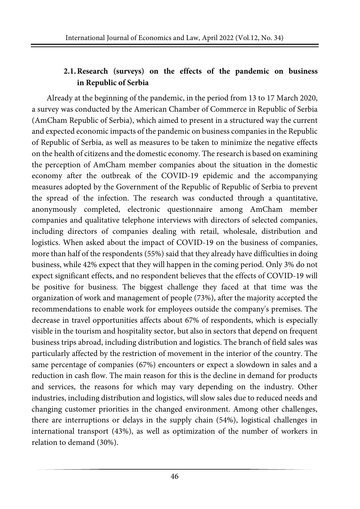# **2.1.Research (surveys) on the effects of the pandemic on business in Republic of Serbia**

Already at the beginning of the pandemic, in the period from 13 to 17 March 2020, a survey was conducted by the American Chamber of Commerce in Republic of Serbia (AmCham Republic of Serbia), which aimed to present in a structured way the current and expected economic impacts of the pandemic on business companies in the Republic of Republic of Serbia, as well as measures to be taken to minimize the negative effects on the health of citizens and the domestic economy. The research is based on examining the perception of AmCham member companies about the situation in the domestic economy after the outbreak of the COVID-19 epidemic and the accompanying measures adopted by the Government of the Republic of Republic of Serbia to prevent the spread of the infection. The research was conducted through a quantitative, anonymously completed, electronic questionnaire among AmCham member companies and qualitative telephone interviews with directors of selected companies, including directors of companies dealing with retail, wholesale, distribution and logistics. When asked about the impact of COVID-19 on the business of companies, more than half of the respondents (55%) said that they already have difficulties in doing business, while 42% expect that they will happen in the coming period. Only 3% do not expect significant effects, and no respondent believes that the effects of COVID-19 will be positive for business. The biggest challenge they faced at that time was the organization of work and management of people (73%), after the majority accepted the recommendations to enable work for employees outside the company's premises. The decrease in travel opportunities affects about 67% of respondents, which is especially visible in the tourism and hospitality sector, but also in sectors that depend on frequent business trips abroad, including distribution and logistics. The branch of field sales was particularly affected by the restriction of movement in the interior of the country. The same percentage of companies (67%) encounters or expect a slowdown in sales and a reduction in cash flow. The main reason for this is the decline in demand for products and services, the reasons for which may vary depending on the industry. Other industries, including distribution and logistics, will slow sales due to reduced needs and changing customer priorities in the changed environment. Among other challenges, there are interruptions or delays in the supply chain (54%), logistical challenges in international transport (43%), as well as optimization of the number of workers in relation to demand (30%).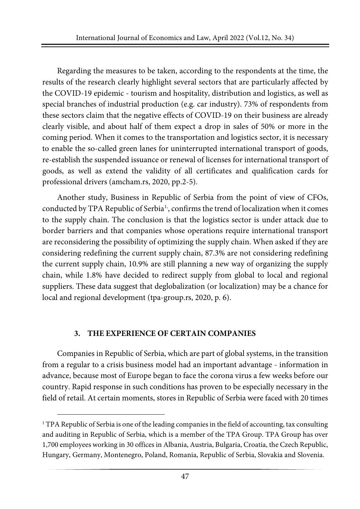Regarding the measures to be taken, according to the respondents at the time, the results of the research clearly highlight several sectors that are particularly affected by the COVID-19 epidemic - tourism and hospitality, distribution and logistics, as well as special branches of industrial production (e.g. car industry). 73% of respondents from these sectors claim that the negative effects of COVID-19 on their business are already clearly visible, and about half of them expect a drop in sales of 50% or more in the coming period. When it comes to the transportation and logistics sector, it is necessary to enable the so-called green lanes for uninterrupted international transport of goods, re-establish the suspended issuance or renewal of licenses for international transport of goods, as well as extend the validity of all certificates and qualification cards for professional drivers (amcham.rs, 2020, pp.2-5).

Another study, Business in Republic of Serbia from the point of view of CFOs, conducted by TPA Republic of Serbia<sup>[1](#page-6-0),</sup>, confirms the trend of localization when it comes to the supply chain. The conclusion is that the logistics sector is under attack due to border barriers and that companies whose operations require international transport are reconsidering the possibility of optimizing the supply chain. When asked if they are considering redefining the current supply chain, 87.3% are not considering redefining the current supply chain, 10.9% are still planning a new way of organizing the supply chain, while 1.8% have decided to redirect supply from global to local and regional suppliers. These data suggest that deglobalization (or localization) may be a chance for local and regional development (tpa-group.rs, 2020, p. 6).

## **3. THE EXPERIENCE OF CERTAIN COMPANIES**

Companies in Republic of Serbia, which are part of global systems, in the transition from a regular to a crisis business model had an important advantage - information in advance, because most of Europe began to face the corona virus a few weeks before our country. Rapid response in such conditions has proven to be especially necessary in the field of retail. At certain moments, stores in Republic of Serbia were faced with 20 times

<span id="page-6-0"></span><sup>1</sup> TPA Republic of Serbia is one of the leading companies in the field of accounting, tax consulting and auditing in Republic of Serbia, which is a member of the TPA Group. TPA Group has over 1,700 employees working in 30 offices in Albania, Austria, Bulgaria, Croatia, the Czech Republic, Hungary, Germany, Montenegro, Poland, Romania, Republic of Serbia, Slovakia and Slovenia.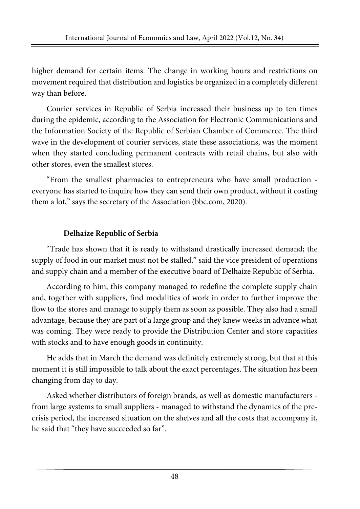higher demand for certain items. The change in working hours and restrictions on movementrequired that distribution and logistics be organized in a completely different way than before.

Courier services in Republic of Serbia increased their business up to ten times during the epidemic, according to the Association for Electronic Communications and the Information Society of the Republic of Serbian Chamber of Commerce. The third wave in the development of courier services, state these associations, was the moment when they started concluding permanent contracts with retail chains, but also with other stores, even the smallest stores.

"From the smallest pharmacies to entrepreneurs who have small production everyone has started to inquire how they can send their own product, without it costing them a lot," says the secretary of the Association (bbc.com, 2020).

# **Delhaize Republic of Serbia**

"Trade has shown that it is ready to withstand drastically increased demand; the supply of food in our market must not be stalled," said the vice president of operations and supply chain and a member of the executive board of Delhaize Republic of Serbia.

According to him, this company managed to redefine the complete supply chain and, together with suppliers, find modalities of work in order to further improve the flow to the stores and manage to supply them as soon as possible. They also had a small advantage, because they are part of a large group and they knew weeks in advance what was coming. They were ready to provide the Distribution Center and store capacities with stocks and to have enough goods in continuity.

He adds that in March the demand was definitely extremely strong, but that at this moment it is still impossible to talk about the exact percentages. The situation has been changing from day to day.

Asked whether distributors of foreign brands, as well as domestic manufacturers from large systems to small suppliers - managed to withstand the dynamics of the precrisis period, the increased situation on the shelves and all the costs that accompany it, he said that "they have succeeded so far".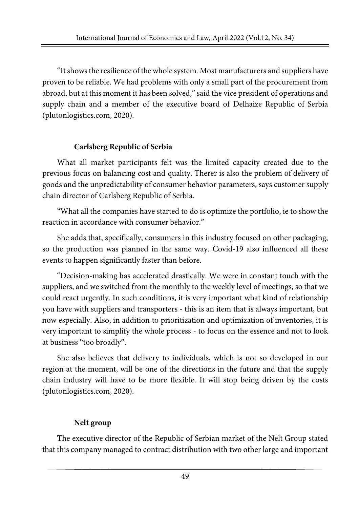"Itshowsthe resilience of the whole system. Most manufacturers and suppliers have proven to be reliable. We had problems with only a small part of the procurement from abroad, but at this moment it has been solved," said the vice president of operations and supply chain and a member of the executive board of Delhaize Republic of Serbia (plutonlogistics.com, 2020).

# **Carlsberg Republic of Serbia**

What all market participants felt was the limited capacity created due to the previous focus on balancing cost and quality. Therer is also the problem of delivery of goods and the unpredictability of consumer behavior parameters, says customer supply chain director of Carlsberg Republic of Serbia.

"What all the companies have started to do is optimize the portfolio, ie to show the reaction in accordance with consumer behavior."

She adds that, specifically, consumers in this industry focused on other packaging, so the production was planned in the same way. Covid-19 also influenced all these events to happen significantly faster than before.

"Decision-making has accelerated drastically. We were in constant touch with the suppliers, and we switched from the monthly to the weekly level of meetings, so that we could react urgently. In such conditions, it is very important what kind of relationship you have with suppliers and transporters - this is an item that is always important, but now especially. Also, in addition to prioritization and optimization of inventories, it is very important to simplify the whole process - to focus on the essence and not to look at business "too broadly".

She also believes that delivery to individuals, which is not so developed in our region at the moment, will be one of the directions in the future and that the supply chain industry will have to be more flexible. It will stop being driven by the costs (plutonlogistics.com, 2020).

# **Nelt group**

The executive director of the Republic of Serbian market of the Nelt Group stated that this company managed to contract distribution with two other large and important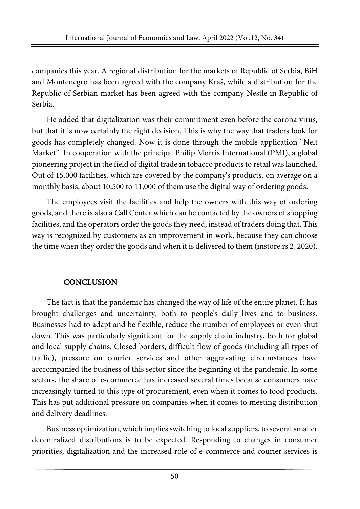companies this year. A regional distribution for the markets of Republic of Serbia, BiH and Montenegro has been agreed with the company Kraš, while a distribution for the Republic of Serbian market has been agreed with the company Nestle in Republic of Serbia.

He added that digitalization was their commitment even before the corona virus, but that it is now certainly the right decision. This is why the way that traders look for goods has completely changed. Now it is done through the mobile application "Nelt Market". In cooperation with the principal Philip Morris International (PMI), a global pioneering project in the field of digital trade in tobacco products to retail was launched. Out of 15,000 facilities, which are covered by the company's products, on average on a monthly basis, about 10,500 to 11,000 of them use the digital way of ordering goods.

The employees visit the facilities and help the owners with this way of ordering goods, and there is also a Call Center which can be contacted by the owners of shopping facilities, and the operators order the goods they need, instead of traders doing that. This way is recognized by customers as an improvement in work, because they can choose the time when they order the goods and when it is delivered to them (instore.rs 2, 2020).

# **CONCLUSION**

The fact is that the pandemic has changed the way of life of the entire planet. It has brought challenges and uncertainty, both to people's daily lives and to business. Businesses had to adapt and be flexible, reduce the number of employees or even shut down. This was particularly significant for the supply chain industry, both for global and local supply chains. Closed borders, difficult flow of goods (including all types of traffic), pressure on courier services and other aggravating circumstances have acccompanied the business of this sector since the beginning of the pandemic. In some sectors, the share of e-commerce has increased several times because consumers have increasingly turned to this type of procurement, even when it comes to food products. This has put additional pressure on companies when it comes to meeting distribution and delivery deadlines.

Business optimization, which implies switching to local suppliers, to several smaller decentralized distributions is to be expected. Responding to changes in consumer priorities, digitalization and the increased role of e-commerce and courier services is